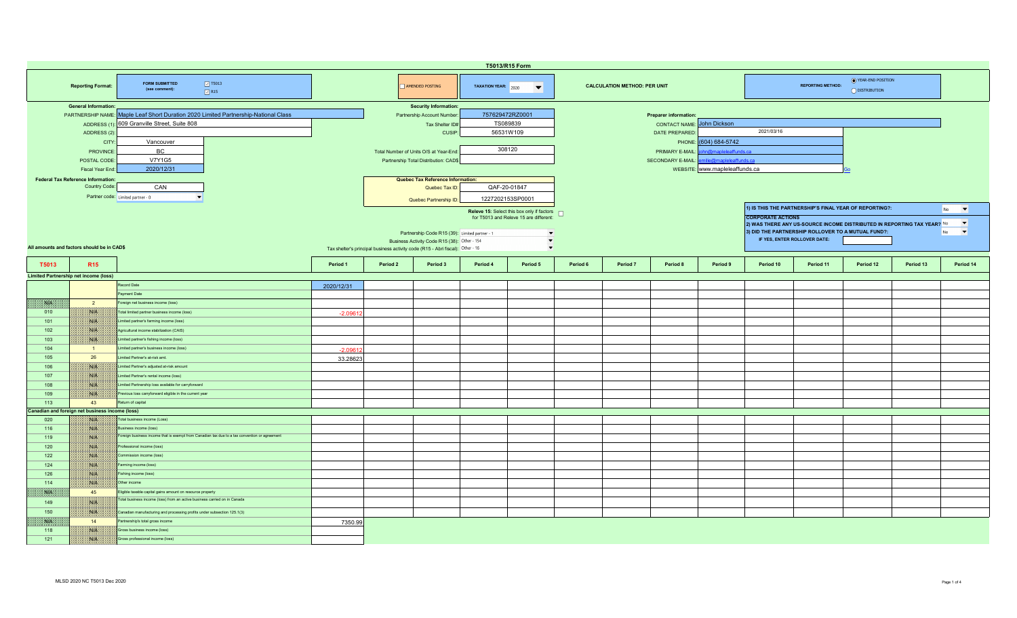|                                                                                                                                                                                   | T5013/R15 Form                                                                                         |                                                                                               |                                                                                |                                                                                                                                                                                  |                                          |                                                                                                                                                                             |                                                                                |          |                                     |                                                      |                                                                                                                                                                                           |                                                                                                  |           |           |                                                   |           |  |
|-----------------------------------------------------------------------------------------------------------------------------------------------------------------------------------|--------------------------------------------------------------------------------------------------------|-----------------------------------------------------------------------------------------------|--------------------------------------------------------------------------------|----------------------------------------------------------------------------------------------------------------------------------------------------------------------------------|------------------------------------------|-----------------------------------------------------------------------------------------------------------------------------------------------------------------------------|--------------------------------------------------------------------------------|----------|-------------------------------------|------------------------------------------------------|-------------------------------------------------------------------------------------------------------------------------------------------------------------------------------------------|--------------------------------------------------------------------------------------------------|-----------|-----------|---------------------------------------------------|-----------|--|
|                                                                                                                                                                                   | <b>Reporting Format:</b>                                                                               | $\boxed{3}$ T5013<br><b>FORM SUBMITTED</b><br>(see comment):<br>$\sqrt{}$ R15                 |                                                                                | AMENDED POSTING<br>TAXATION YEAR: 2020<br>$\blacktriangledown$                                                                                                                   |                                          |                                                                                                                                                                             |                                                                                |          | <b>CALCULATION METHOD: PER UNIT</b> |                                                      |                                                                                                                                                                                           | ◯ YEAR-END POSITION<br><b>REPORTING METHOD:</b><br>O DISTRIBUTION                                |           |           |                                                   |           |  |
| <b>General Information:</b><br>PARTNERSHIP NAME: Maple Leaf Short Duration 2020 Limited Partnership-National Class<br>ADDRESS (1): 609 Granville Street, Suite 808<br>ADDRESS (2) |                                                                                                        | Partnership Account Number                                                                    |                                                                                | <b>Security Information:</b><br>Tax Shelter ID#<br><b>CUSIP</b>                                                                                                                  | 757629472RZ0001<br>TS089839<br>56531W109 |                                                                                                                                                                             | Preparer information:<br>John Dickson<br><b>CONTACT NAME:</b><br>DATE PREPARED |          |                                     |                                                      | 2021/03/16                                                                                                                                                                                |                                                                                                  |           |           |                                                   |           |  |
|                                                                                                                                                                                   | CITY<br>Vancouver<br>BC.<br>PROVINCE<br><b>V7Y1G5</b><br>POSTAL CODE<br>2020/12/31<br>Fiscal Year End  |                                                                                               | Total Number of Units O/S at Year-End<br>Partnership Total Distribution: CAD\$ |                                                                                                                                                                                  |                                          |                                                                                                                                                                             | 308120                                                                         |          |                                     | PHONE:<br>PRIMARY E-MAIL<br><b>SECONDARY E-MAIL:</b> | (604) 684-5742<br>n@mapleleaffunds.ca<br>nilie@mapleleaffunds.ca<br>WEBSITE: www.mapleleaffunds.ca                                                                                        |                                                                                                  |           |           |                                                   |           |  |
|                                                                                                                                                                                   | <b>Federal Tax Reference Information:</b><br>Country Code:<br>CAN<br>Partner code: Limited partner - 0 |                                                                                               | Quebec Tax Reference Information:<br>Quebec Tax ID:<br>Quebec Partnership ID:  |                                                                                                                                                                                  |                                          |                                                                                                                                                                             | QAF-20-01847<br>1227202153SP0001                                               |          |                                     |                                                      |                                                                                                                                                                                           | 1) IS THIS THE PARTNERSHIP'S FINAL YEAR OF REPORTING?:<br>$\blacktriangledown$<br>N <sub>o</sub> |           |           |                                                   |           |  |
|                                                                                                                                                                                   | All amounts and factors should be in CAD\$                                                             |                                                                                               |                                                                                | Partnership Code R15 (39): Limited partner - 1<br>Business Activity Code R15 (38): Other - 154<br>Tax shelter's principal business activity code (R15 - Abri fiscal): Other - 16 |                                          | Releve 15: Select this box only if factors $\Box$<br>for T5013 and Releve 15 are different:<br>$\overline{\phantom{a}}$<br>$\overline{\phantom{a}}$<br>$\blacktriangledown$ |                                                                                |          |                                     |                                                      | <b>CORPORATE ACTIONS</b><br>2) WAS THERE ANY US-SOURCE INCOME DISTRIBUTED IN REPORTING TAX YEAR? No<br>3) DID THE PARTNERSHIP ROLLOVER TO A MUTUAL FUND?:<br>IF YES, ENTER ROLLOVER DATE: |                                                                                                  |           |           | $\blacktriangledown$<br>$\vert \cdot \vert$<br>No |           |  |
| T5013                                                                                                                                                                             | R <sub>15</sub>                                                                                        |                                                                                               | Period 1                                                                       | Period 2                                                                                                                                                                         | Period 3                                 | Period 4                                                                                                                                                                    | Period 5                                                                       | Period 6 | Period 7                            | Period 8                                             | Period 9                                                                                                                                                                                  | Period 10                                                                                        | Period 11 | Period 12 | Period 13                                         | Period 14 |  |
|                                                                                                                                                                                   | <b>Limited Partnership net income (loss)</b>                                                           |                                                                                               |                                                                                |                                                                                                                                                                                  |                                          |                                                                                                                                                                             |                                                                                |          |                                     |                                                      |                                                                                                                                                                                           |                                                                                                  |           |           |                                                   |           |  |
|                                                                                                                                                                                   |                                                                                                        | Record Date                                                                                   | 2020/12/31                                                                     |                                                                                                                                                                                  |                                          |                                                                                                                                                                             |                                                                                |          |                                     |                                                      |                                                                                                                                                                                           |                                                                                                  |           |           |                                                   |           |  |
|                                                                                                                                                                                   |                                                                                                        | ayment Date                                                                                   |                                                                                |                                                                                                                                                                                  |                                          |                                                                                                                                                                             |                                                                                |          |                                     |                                                      |                                                                                                                                                                                           |                                                                                                  |           |           |                                                   |           |  |
| <b>SAPE</b>                                                                                                                                                                       | $\overline{2}$                                                                                         | Foreign net business income (loss)                                                            |                                                                                |                                                                                                                                                                                  |                                          |                                                                                                                                                                             |                                                                                |          |                                     |                                                      |                                                                                                                                                                                           |                                                                                                  |           |           |                                                   |           |  |
| 010                                                                                                                                                                               | NIA                                                                                                    | Total limited partner business income (loss)                                                  | $-2.0961$                                                                      |                                                                                                                                                                                  |                                          |                                                                                                                                                                             |                                                                                |          |                                     |                                                      |                                                                                                                                                                                           |                                                                                                  |           |           |                                                   |           |  |
|                                                                                                                                                                                   |                                                                                                        |                                                                                               |                                                                                |                                                                                                                                                                                  |                                          |                                                                                                                                                                             |                                                                                |          |                                     |                                                      |                                                                                                                                                                                           |                                                                                                  |           |           |                                                   |           |  |
| 101                                                                                                                                                                               | WA                                                                                                     | Limited partner's farming income (loss)                                                       |                                                                                |                                                                                                                                                                                  |                                          |                                                                                                                                                                             |                                                                                |          |                                     |                                                      |                                                                                                                                                                                           |                                                                                                  |           |           |                                                   |           |  |
| 102                                                                                                                                                                               | WILL                                                                                                   | Agricultural income stabilization (CAIS)                                                      |                                                                                |                                                                                                                                                                                  |                                          |                                                                                                                                                                             |                                                                                |          |                                     |                                                      |                                                                                                                                                                                           |                                                                                                  |           |           |                                                   |           |  |
| 103                                                                                                                                                                               | NUN                                                                                                    | Limited partner's fishing income (loss)                                                       |                                                                                |                                                                                                                                                                                  |                                          |                                                                                                                                                                             |                                                                                |          |                                     |                                                      |                                                                                                                                                                                           |                                                                                                  |           |           |                                                   |           |  |
| 104                                                                                                                                                                               | $\blacksquare$                                                                                         | Limited partner's business income (loss)                                                      | $-2.0961$                                                                      |                                                                                                                                                                                  |                                          |                                                                                                                                                                             |                                                                                |          |                                     |                                                      |                                                                                                                                                                                           |                                                                                                  |           |           |                                                   |           |  |
| 105                                                                                                                                                                               | 26                                                                                                     | imited Partner's at-risk amt.                                                                 | 33.28623                                                                       |                                                                                                                                                                                  |                                          |                                                                                                                                                                             |                                                                                |          |                                     |                                                      |                                                                                                                                                                                           |                                                                                                  |           |           |                                                   |           |  |
| 106                                                                                                                                                                               | W                                                                                                      | Limited Partner's adjusted at-risk amount                                                     |                                                                                |                                                                                                                                                                                  |                                          |                                                                                                                                                                             |                                                                                |          |                                     |                                                      |                                                                                                                                                                                           |                                                                                                  |           |           |                                                   |           |  |
| 107                                                                                                                                                                               | NIK                                                                                                    | Limited Partner's rental income (loss)                                                        |                                                                                |                                                                                                                                                                                  |                                          |                                                                                                                                                                             |                                                                                |          |                                     |                                                      |                                                                                                                                                                                           |                                                                                                  |           |           |                                                   |           |  |
| 108                                                                                                                                                                               | NIA                                                                                                    | Limited Partnership loss available for carryforward                                           |                                                                                |                                                                                                                                                                                  |                                          |                                                                                                                                                                             |                                                                                |          |                                     |                                                      |                                                                                                                                                                                           |                                                                                                  |           |           |                                                   |           |  |
| 109                                                                                                                                                                               | WA                                                                                                     | Previous loss carryforward eligible in the current year                                       |                                                                                |                                                                                                                                                                                  |                                          |                                                                                                                                                                             |                                                                                |          |                                     |                                                      |                                                                                                                                                                                           |                                                                                                  |           |           |                                                   |           |  |
| 113                                                                                                                                                                               | 43                                                                                                     | eturn of capital                                                                              |                                                                                |                                                                                                                                                                                  |                                          |                                                                                                                                                                             |                                                                                |          |                                     |                                                      |                                                                                                                                                                                           |                                                                                                  |           |           |                                                   |           |  |
|                                                                                                                                                                                   | Canadian and foreign net business income (loss)                                                        |                                                                                               |                                                                                |                                                                                                                                                                                  |                                          |                                                                                                                                                                             |                                                                                |          |                                     |                                                      |                                                                                                                                                                                           |                                                                                                  |           |           |                                                   |           |  |
| 020                                                                                                                                                                               | <b>BALLAR</b>                                                                                          | Total business income (Loss)                                                                  |                                                                                |                                                                                                                                                                                  |                                          |                                                                                                                                                                             |                                                                                |          |                                     |                                                      |                                                                                                                                                                                           |                                                                                                  |           |           |                                                   |           |  |
| 116                                                                                                                                                                               | NA                                                                                                     | usiness income (loss)                                                                         |                                                                                |                                                                                                                                                                                  |                                          |                                                                                                                                                                             |                                                                                |          |                                     |                                                      |                                                                                                                                                                                           |                                                                                                  |           |           |                                                   |           |  |
| 119                                                                                                                                                                               | Nik                                                                                                    | Foreign business income that is exempt from Canadian tax due to a tax convention or agreement |                                                                                |                                                                                                                                                                                  |                                          |                                                                                                                                                                             |                                                                                |          |                                     |                                                      |                                                                                                                                                                                           |                                                                                                  |           |           |                                                   |           |  |
| 120                                                                                                                                                                               | <b>STAR</b>                                                                                            | Professional income (loss)                                                                    |                                                                                |                                                                                                                                                                                  |                                          |                                                                                                                                                                             |                                                                                |          |                                     |                                                      |                                                                                                                                                                                           |                                                                                                  |           |           |                                                   |           |  |
| 122                                                                                                                                                                               | NIA                                                                                                    | Commission income (loss)                                                                      |                                                                                |                                                                                                                                                                                  |                                          |                                                                                                                                                                             |                                                                                |          |                                     |                                                      |                                                                                                                                                                                           |                                                                                                  |           |           |                                                   |           |  |
| 124                                                                                                                                                                               | NIA                                                                                                    | Farming income (loss)                                                                         |                                                                                |                                                                                                                                                                                  |                                          |                                                                                                                                                                             |                                                                                |          |                                     |                                                      |                                                                                                                                                                                           |                                                                                                  |           |           |                                                   |           |  |
| 126                                                                                                                                                                               | Nitk                                                                                                   | Fishing income (loss)                                                                         |                                                                                |                                                                                                                                                                                  |                                          |                                                                                                                                                                             |                                                                                |          |                                     |                                                      |                                                                                                                                                                                           |                                                                                                  |           |           |                                                   |           |  |
| 114                                                                                                                                                                               | Niek                                                                                                   | Other income                                                                                  |                                                                                |                                                                                                                                                                                  |                                          |                                                                                                                                                                             |                                                                                |          |                                     |                                                      |                                                                                                                                                                                           |                                                                                                  |           |           |                                                   |           |  |
| <b>SALA</b>                                                                                                                                                                       | 45                                                                                                     | Eligible taxable capital gains amount on resource property                                    |                                                                                |                                                                                                                                                                                  |                                          |                                                                                                                                                                             |                                                                                |          |                                     |                                                      |                                                                                                                                                                                           |                                                                                                  |           |           |                                                   |           |  |
| 149                                                                                                                                                                               | NIA                                                                                                    | Fotal business income (loss) from an active business carried on in Canada                     |                                                                                |                                                                                                                                                                                  |                                          |                                                                                                                                                                             |                                                                                |          |                                     |                                                      |                                                                                                                                                                                           |                                                                                                  |           |           |                                                   |           |  |
| 150                                                                                                                                                                               | WA                                                                                                     | Canadian manufacturing and processing profits under subsection 125.1(3)                       |                                                                                |                                                                                                                                                                                  |                                          |                                                                                                                                                                             |                                                                                |          |                                     |                                                      |                                                                                                                                                                                           |                                                                                                  |           |           |                                                   |           |  |
| NA                                                                                                                                                                                | 14                                                                                                     | Partnership's total gross income                                                              | 7350.99                                                                        |                                                                                                                                                                                  |                                          |                                                                                                                                                                             |                                                                                |          |                                     |                                                      |                                                                                                                                                                                           |                                                                                                  |           |           |                                                   |           |  |
| 118                                                                                                                                                                               | NIA                                                                                                    | Gross business income (loss)                                                                  |                                                                                |                                                                                                                                                                                  |                                          |                                                                                                                                                                             |                                                                                |          |                                     |                                                      |                                                                                                                                                                                           |                                                                                                  |           |           |                                                   |           |  |
| $121$                                                                                                                                                                             | W                                                                                                      | Gross professional income (loss)                                                              |                                                                                |                                                                                                                                                                                  |                                          |                                                                                                                                                                             |                                                                                |          |                                     |                                                      |                                                                                                                                                                                           |                                                                                                  |           |           |                                                   |           |  |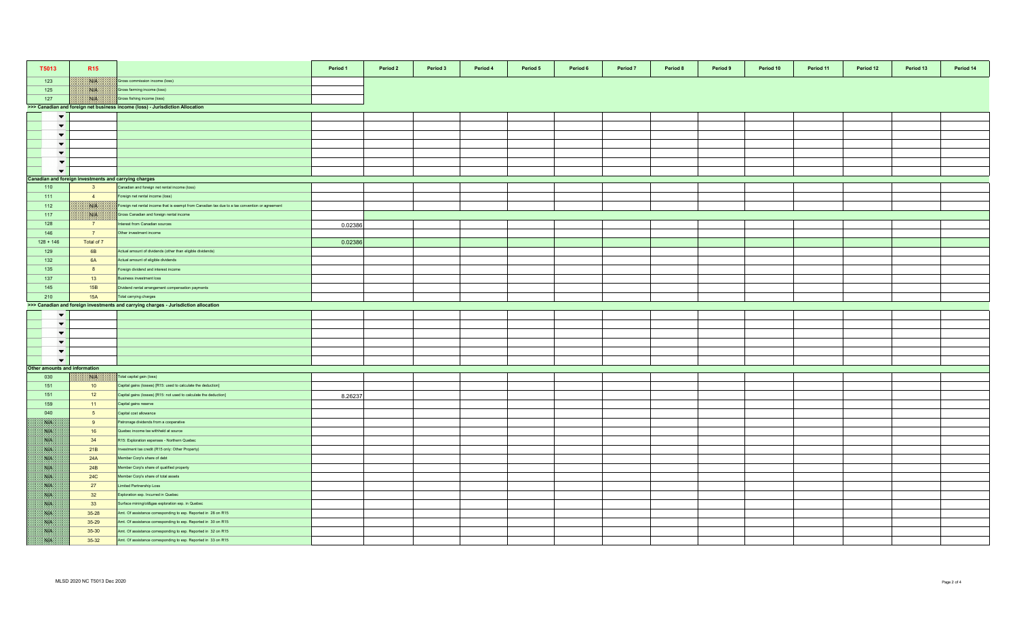| T5013                         | <b>R15</b>                                            |                                                                                                 | Period 1 | Period 2 | Period 3 | Period 4 | Period 5 | Period 6 | Period 7 | Period 8 | Period 9 | Period 10 | Period 11 | Period 12 | Period 13 | Period 14 |
|-------------------------------|-------------------------------------------------------|-------------------------------------------------------------------------------------------------|----------|----------|----------|----------|----------|----------|----------|----------|----------|-----------|-----------|-----------|-----------|-----------|
| 123                           | <b>Side of</b>                                        | Gross commission income (loss)                                                                  |          |          |          |          |          |          |          |          |          |           |           |           |           |           |
| 125                           | <b>BULL</b>                                           | Gross farming income (loss)                                                                     |          |          |          |          |          |          |          |          |          |           |           |           |           |           |
| 127                           | NIK                                                   | Gross fishing income (loss)                                                                     |          |          |          |          |          |          |          |          |          |           |           |           |           |           |
|                               |                                                       | >>> Canadian and foreign net business income (loss) - Jurisdiction Allocation                   |          |          |          |          |          |          |          |          |          |           |           |           |           |           |
| $\blacktriangledown$          |                                                       |                                                                                                 |          |          |          |          |          |          |          |          |          |           |           |           |           |           |
| $\blacktriangledown$          |                                                       |                                                                                                 |          |          |          |          |          |          |          |          |          |           |           |           |           |           |
| $\blacktriangledown$          |                                                       |                                                                                                 |          |          |          |          |          |          |          |          |          |           |           |           |           |           |
| $\left  \cdot \right $        |                                                       |                                                                                                 |          |          |          |          |          |          |          |          |          |           |           |           |           |           |
| $\overline{\phantom{0}}$      |                                                       |                                                                                                 |          |          |          |          |          |          |          |          |          |           |           |           |           |           |
| $\overline{\phantom{a}}$      |                                                       |                                                                                                 |          |          |          |          |          |          |          |          |          |           |           |           |           |           |
| $\overline{\phantom{0}}$      |                                                       |                                                                                                 |          |          |          |          |          |          |          |          |          |           |           |           |           |           |
|                               | Canadian and foreign investments and carrying charges |                                                                                                 |          |          |          |          |          |          |          |          |          |           |           |           |           |           |
| 110                           | 3 <sup>5</sup>                                        | Canadian and foreign net rental income (loss)                                                   |          |          |          |          |          |          |          |          |          |           |           |           |           |           |
| 111                           | $\overline{4}$                                        | Foreign net rental income (loss)                                                                |          |          |          |          |          |          |          |          |          |           |           |           |           |           |
| 112                           | NIA                                                   | Foreign net rental income that is exempt from Canadian tax due to a tax convention or agreement |          |          |          |          |          |          |          |          |          |           |           |           |           |           |
| 117                           | <b>SALE</b>                                           | Gross Canadian and foreign rental income                                                        |          |          |          |          |          |          |          |          |          |           |           |           |           |           |
| 128                           | $\overline{7}$                                        | nterest from Canadian sources                                                                   | 0.02386  |          |          |          |          |          |          |          |          |           |           |           |           |           |
| 146                           | 7 <sup>7</sup>                                        | Other investment income                                                                         |          |          |          |          |          |          |          |          |          |           |           |           |           |           |
| $128 + 146$                   | Total of 7                                            |                                                                                                 | 0.02386  |          |          |          |          |          |          |          |          |           |           |           |           |           |
| 129                           | 6B                                                    | Actual amount of dividends (other than eligible dividends)                                      |          |          |          |          |          |          |          |          |          |           |           |           |           |           |
| 132                           | 6A                                                    | Actual amount of eligible dividends                                                             |          |          |          |          |          |          |          |          |          |           |           |           |           |           |
| 135                           | 8                                                     | Foreign dividend and interest income                                                            |          |          |          |          |          |          |          |          |          |           |           |           |           |           |
| 137                           | 13                                                    | susiness investment loss                                                                        |          |          |          |          |          |          |          |          |          |           |           |           |           |           |
| 145                           | 15B                                                   | Dividend rental arrangement compensation payments                                               |          |          |          |          |          |          |          |          |          |           |           |           |           |           |
| 210                           | <b>15A</b>                                            | Total carrying charges                                                                          |          |          |          |          |          |          |          |          |          |           |           |           |           |           |
|                               |                                                       | >>> Canadian and foreign investments and carrying charges - Jurisdiction allocation             |          |          |          |          |          |          |          |          |          |           |           |           |           |           |
| $\blacktriangledown$          |                                                       |                                                                                                 |          |          |          |          |          |          |          |          |          |           |           |           |           |           |
| $\blacktriangledown$          |                                                       |                                                                                                 |          |          |          |          |          |          |          |          |          |           |           |           |           |           |
| $\blacktriangledown$          |                                                       |                                                                                                 |          |          |          |          |          |          |          |          |          |           |           |           |           |           |
| $\blacktriangledown$          |                                                       |                                                                                                 |          |          |          |          |          |          |          |          |          |           |           |           |           |           |
| $\blacktriangledown$          |                                                       |                                                                                                 |          |          |          |          |          |          |          |          |          |           |           |           |           |           |
| $\blacktriangledown$          |                                                       |                                                                                                 |          |          |          |          |          |          |          |          |          |           |           |           |           |           |
| Other amounts and information |                                                       |                                                                                                 |          |          |          |          |          |          |          |          |          |           |           |           |           |           |
| 030                           | 外联                                                    | Total capital gain (loss)                                                                       |          |          |          |          |          |          |          |          |          |           |           |           |           |           |
| 151                           | 10                                                    | Capital gains (losses) [R15: used to calculate the deduction]                                   |          |          |          |          |          |          |          |          |          |           |           |           |           |           |
| 151                           | 12                                                    | Capital gains (losses) [R15: not used to calculate the deduction]                               | 8.26237  |          |          |          |          |          |          |          |          |           |           |           |           |           |
| 159                           | $-11$                                                 | Capital gains reserve                                                                           |          |          |          |          |          |          |          |          |          |           |           |           |           |           |
| 040                           | 5 <sub>5</sub>                                        | Capital cost allowance                                                                          |          |          |          |          |          |          |          |          |          |           |           |           |           |           |
| <b>SUB</b>                    | 9                                                     | Patronage dividends from a cooperative                                                          |          |          |          |          |          |          |          |          |          |           |           |           |           |           |
| <b>SUP</b>                    | 16                                                    | Quebec income tax withheld at source                                                            |          |          |          |          |          |          |          |          |          |           |           |           |           |           |
| NB.                           | 34                                                    | R15: Exploration expenses - Northern Quebec                                                     |          |          |          |          |          |          |          |          |          |           |           |           |           |           |
| <b>ANGEL</b>                  | 21B                                                   | nvestment tax credit (R15 only: Other Property)                                                 |          |          |          |          |          |          |          |          |          |           |           |           |           |           |
| <b>SAFE</b>                   | 24A                                                   | Member Corp's share of debt                                                                     |          |          |          |          |          |          |          |          |          |           |           |           |           |           |
| SS P                          | 24B                                                   | lember Corp's share of qualified property                                                       |          |          |          |          |          |          |          |          |          |           |           |           |           |           |
| <b>SALE</b>                   | <b>24C</b>                                            | Member Corp's share of total assets                                                             |          |          |          |          |          |          |          |          |          |           |           |           |           |           |
| <b>SALE</b>                   | 27                                                    | imited Partnership Loss                                                                         |          |          |          |          |          |          |          |          |          |           |           |           |           |           |
| <b>SOF</b>                    | 32                                                    | Exploration exp. Incurred in Quebec                                                             |          |          |          |          |          |          |          |          |          |           |           |           |           |           |
| NB                            | 33                                                    | Surface mining/oil&gas exploration exp. in Quebec                                               |          |          |          |          |          |          |          |          |          |           |           |           |           |           |
| NB.                           | 35-28                                                 | Amt. Of assistance corresponding to exp. Reported in 28 on R15                                  |          |          |          |          |          |          |          |          |          |           |           |           |           |           |
| NA                            | 35-29                                                 | Amt. Of assistance corresponding to exp. Reported in 30 on R15                                  |          |          |          |          |          |          |          |          |          |           |           |           |           |           |
| <b>SALE</b>                   | 35-30                                                 | Amt. Of assistance corresponding to exp. Reported in 32 on R15                                  |          |          |          |          |          |          |          |          |          |           |           |           |           |           |
| <b>SALE</b>                   | $35 - 32$                                             | Amt. Of assistance corresponding to exp. Reported in 33 on R15                                  |          |          |          |          |          |          |          |          |          |           |           |           |           |           |
|                               |                                                       |                                                                                                 |          |          |          |          |          |          |          |          |          |           |           |           |           |           |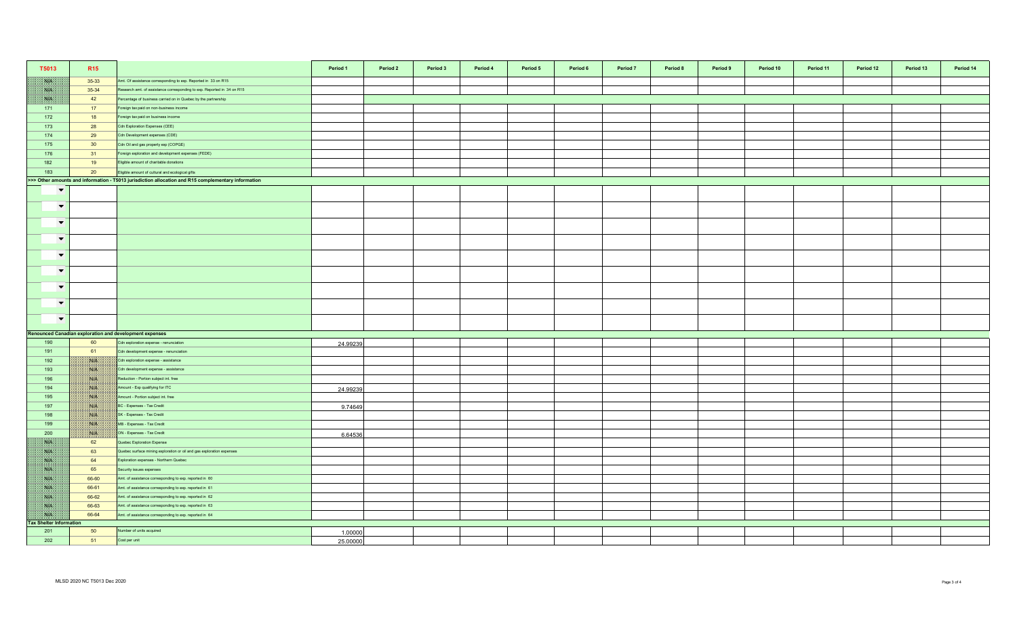| T5013                          | R <sub>15</sub> |                                                                                                     | Period 1 | Period 2 | Period 3 | Period 4 | Period 5 | Period 6 | Period <sub>7</sub> | Period 8 | Period 9 | Period 10 | Period 11 | Period 12 | Period 13 | Period 14 |
|--------------------------------|-----------------|-----------------------------------------------------------------------------------------------------|----------|----------|----------|----------|----------|----------|---------------------|----------|----------|-----------|-----------|-----------|-----------|-----------|
| NA                             | 35-33           | Amt. Of assistance corresponding to exp. Reported in 33 on R15                                      |          |          |          |          |          |          |                     |          |          |           |           |           |           |           |
| NA                             | 35-34           | Research amt. of assistance corresponding to exp. Reported in 34 on R15                             |          |          |          |          |          |          |                     |          |          |           |           |           |           |           |
| SYP.                           | 42              | Percentage of business carried on in Quebec by the partnership                                      |          |          |          |          |          |          |                     |          |          |           |           |           |           |           |
| 171                            | 17              | Foreign tax paid on non-business income                                                             |          |          |          |          |          |          |                     |          |          |           |           |           |           |           |
| 172                            | 18              | oreign tax paid on business income                                                                  |          |          |          |          |          |          |                     |          |          |           |           |           |           |           |
| 173                            | 28              | Cdn Exploration Expenses (CEE)                                                                      |          |          |          |          |          |          |                     |          |          |           |           |           |           |           |
| 174                            | 29              | Cdn Development expenses (CDE)                                                                      |          |          |          |          |          |          |                     |          |          |           |           |           |           |           |
| 175                            | 30              | Cdn Oil and gas property exp (COPGE)                                                                |          |          |          |          |          |          |                     |          |          |           |           |           |           |           |
| 176                            | 31              | Foreign exploration and development expenses (FEDE)                                                 |          |          |          |          |          |          |                     |          |          |           |           |           |           |           |
| 182                            | 19              | Eligible amount of charitable donations                                                             |          |          |          |          |          |          |                     |          |          |           |           |           |           |           |
| 183                            | 20              | Eligible amount of cultural and ecological gifts                                                    |          |          |          |          |          |          |                     |          |          |           |           |           |           |           |
|                                |                 | >>> Other amounts and information - T5013 jurisdiction allocation and R15 complementary information |          |          |          |          |          |          |                     |          |          |           |           |           |           |           |
| $\overline{\phantom{0}}$       |                 |                                                                                                     |          |          |          |          |          |          |                     |          |          |           |           |           |           |           |
| $\overline{\phantom{a}}$       |                 |                                                                                                     |          |          |          |          |          |          |                     |          |          |           |           |           |           |           |
| $\blacktriangledown$           |                 |                                                                                                     |          |          |          |          |          |          |                     |          |          |           |           |           |           |           |
| $\blacktriangledown$           |                 |                                                                                                     |          |          |          |          |          |          |                     |          |          |           |           |           |           |           |
| $\blacktriangledown$           |                 |                                                                                                     |          |          |          |          |          |          |                     |          |          |           |           |           |           |           |
| $\blacktriangledown$           |                 |                                                                                                     |          |          |          |          |          |          |                     |          |          |           |           |           |           |           |
| $\blacktriangledown$           |                 |                                                                                                     |          |          |          |          |          |          |                     |          |          |           |           |           |           |           |
| $\overline{\phantom{0}}$       |                 |                                                                                                     |          |          |          |          |          |          |                     |          |          |           |           |           |           |           |
| $\overline{\phantom{a}}$       |                 |                                                                                                     |          |          |          |          |          |          |                     |          |          |           |           |           |           |           |
|                                |                 | Renounced Canadian exploration and development expenses                                             |          |          |          |          |          |          |                     |          |          |           |           |           |           |           |
| 190                            | 60              | Cdn exploration expense - renunciation                                                              | 24.99239 |          |          |          |          |          |                     |          |          |           |           |           |           |           |
| 191                            | 61              | Cdn development expense - renunciation                                                              |          |          |          |          |          |          |                     |          |          |           |           |           |           |           |
| 192                            | <b>SALE</b>     | Cdn exploration expense - assistance                                                                |          |          |          |          |          |          |                     |          |          |           |           |           |           |           |
| 193                            | <b>NGCA</b>     | Cdn development expense - assistance                                                                |          |          |          |          |          |          |                     |          |          |           |           |           |           |           |
| 196                            | <b>NIP</b>      | Reduction - Portion subject int. free                                                               |          |          |          |          |          |          |                     |          |          |           |           |           |           |           |
| 194                            | <b>SALES</b>    | Amount - Exp qualifying for ITC                                                                     | 24.99239 |          |          |          |          |          |                     |          |          |           |           |           |           |           |
| 195                            | NIK             | Amount - Portion subject int. free                                                                  |          |          |          |          |          |          |                     |          |          |           |           |           |           |           |
| 197                            | ma              | BC - Expenses - Tax Credit                                                                          | 9.74649  |          |          |          |          |          |                     |          |          |           |           |           |           |           |
| 198                            | NIA             | SK - Expenses - Tax Credit                                                                          |          |          |          |          |          |          |                     |          |          |           |           |           |           |           |
| 199                            |                 | MB - Expenses - Tax Credit                                                                          |          |          |          |          |          |          |                     |          |          |           |           |           |           |           |
| 200                            | <b>SALE</b>     | ON - Expenses - Tax Credit                                                                          | 6.64536  |          |          |          |          |          |                     |          |          |           |           |           |           |           |
| <b>ANTE</b>                    | 62              | Quebec Exploration Expense                                                                          |          |          |          |          |          |          |                     |          |          |           |           |           |           |           |
| NB                             | 63              | Quebec surface mining exploration or oil and gas exploration expenses                               |          |          |          |          |          |          |                     |          |          |           |           |           |           |           |
| <b>SYP</b>                     | 64              | Exploration expenses - Northern Quebec                                                              |          |          |          |          |          |          |                     |          |          |           |           |           |           |           |
| NB.                            | 65              | Security issues expenses                                                                            |          |          |          |          |          |          |                     |          |          |           |           |           |           |           |
| N/L                            | 66-60           | Amt. of assistance corresponding to exp. reported in 60                                             |          |          |          |          |          |          |                     |          |          |           |           |           |           |           |
| <b>SYN</b>                     | 66-61           | Amt. of assistance corresponding to exp. reported in 61                                             |          |          |          |          |          |          |                     |          |          |           |           |           |           |           |
| 一致的                            | 66-62           | Amt. of assistance corresponding to exp. reported in 62                                             |          |          |          |          |          |          |                     |          |          |           |           |           |           |           |
| NP                             | 66-63           | Amt. of assistance corresponding to exp. reported in 63                                             |          |          |          |          |          |          |                     |          |          |           |           |           |           |           |
| <b>ISUA</b>                    | 66-64           | Amt. of assistance corresponding to exp. reported in 64                                             |          |          |          |          |          |          |                     |          |          |           |           |           |           |           |
| <b>Tax Shelter Information</b> |                 |                                                                                                     |          |          |          |          |          |          |                     |          |          |           |           |           |           |           |
| 201                            | 50              | Number of units acquired                                                                            | 1.00000  |          |          |          |          |          |                     |          |          |           |           |           |           |           |
| 202                            | 51              | Cost per unit                                                                                       | 25.00000 |          |          |          |          |          |                     |          |          |           |           |           |           |           |